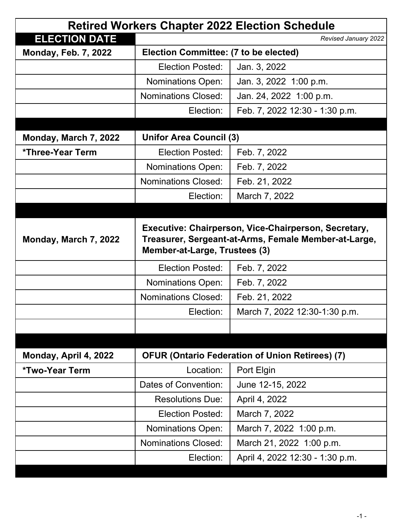| <b>Retired Workers Chapter 2022 Election Schedule</b> |                                                                                                                                               |                                 |  |  |
|-------------------------------------------------------|-----------------------------------------------------------------------------------------------------------------------------------------------|---------------------------------|--|--|
| <b>ELECTION DATE</b>                                  |                                                                                                                                               | Revised January 2022            |  |  |
| <b>Monday, Feb. 7, 2022</b>                           | Election Committee: (7 to be elected)                                                                                                         |                                 |  |  |
|                                                       | <b>Election Posted:</b>                                                                                                                       | Jan. 3, 2022                    |  |  |
|                                                       | <b>Nominations Open:</b>                                                                                                                      | Jan. 3, 2022 1:00 p.m.          |  |  |
|                                                       | <b>Nominations Closed:</b>                                                                                                                    | Jan. 24, 2022 1:00 p.m.         |  |  |
|                                                       | Election:                                                                                                                                     | Feb. 7, 2022 12:30 - 1:30 p.m.  |  |  |
|                                                       |                                                                                                                                               |                                 |  |  |
| Monday, March 7, 2022                                 | <b>Unifor Area Council (3)</b>                                                                                                                |                                 |  |  |
| *Three-Year Term                                      | <b>Election Posted:</b>                                                                                                                       | Feb. 7, 2022                    |  |  |
|                                                       | Nominations Open:                                                                                                                             | Feb. 7, 2022                    |  |  |
|                                                       | <b>Nominations Closed:</b>                                                                                                                    | Feb. 21, 2022                   |  |  |
|                                                       | Election:                                                                                                                                     | March 7, 2022                   |  |  |
|                                                       |                                                                                                                                               |                                 |  |  |
| Monday, March 7, 2022                                 | Executive: Chairperson, Vice-Chairperson, Secretary,<br>Treasurer, Sergeant-at-Arms, Female Member-at-Large,<br>Member-at-Large, Trustees (3) |                                 |  |  |
|                                                       | <b>Election Posted:</b>                                                                                                                       | Feb. 7, 2022                    |  |  |
|                                                       | <b>Nominations Open:</b>                                                                                                                      | Feb. 7, 2022                    |  |  |
|                                                       | <b>Nominations Closed:</b>                                                                                                                    | Feb. 21, 2022                   |  |  |
|                                                       | Election:                                                                                                                                     | March 7, 2022 12:30-1:30 p.m.   |  |  |
|                                                       |                                                                                                                                               |                                 |  |  |
|                                                       |                                                                                                                                               |                                 |  |  |
| Monday, April 4, 2022                                 | <b>OFUR (Ontario Federation of Union Retirees) (7)</b>                                                                                        |                                 |  |  |
| *Two-Year Term                                        | Location:                                                                                                                                     | Port Elgin                      |  |  |
|                                                       | Dates of Convention:                                                                                                                          | June 12-15, 2022                |  |  |
|                                                       | <b>Resolutions Due:</b>                                                                                                                       | April 4, 2022                   |  |  |
|                                                       | <b>Election Posted:</b>                                                                                                                       | March 7, 2022                   |  |  |
|                                                       | <b>Nominations Open:</b>                                                                                                                      | March 7, 2022 1:00 p.m.         |  |  |
|                                                       | <b>Nominations Closed:</b>                                                                                                                    | March 21, 2022 1:00 p.m.        |  |  |
|                                                       | Election:                                                                                                                                     | April 4, 2022 12:30 - 1:30 p.m. |  |  |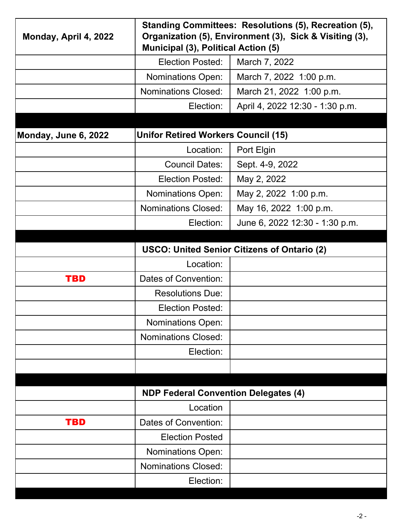| Monday, April 4, 2022 | Standing Committees: Resolutions (5), Recreation (5),<br>Organization (5), Environment (3), Sick & Visiting (3),<br>Municipal (3), Political Action (5) |                                 |  |
|-----------------------|---------------------------------------------------------------------------------------------------------------------------------------------------------|---------------------------------|--|
|                       | <b>Election Posted:</b>                                                                                                                                 | March 7, 2022                   |  |
|                       | <b>Nominations Open:</b>                                                                                                                                | March 7, 2022 1:00 p.m.         |  |
|                       | <b>Nominations Closed:</b>                                                                                                                              | March 21, 2022 1:00 p.m.        |  |
|                       | Election:                                                                                                                                               | April 4, 2022 12:30 - 1:30 p.m. |  |
|                       |                                                                                                                                                         |                                 |  |
| Monday, June 6, 2022  | <b>Unifor Retired Workers Council (15)</b>                                                                                                              |                                 |  |
|                       | Location:                                                                                                                                               | Port Elgin                      |  |
|                       | <b>Council Dates:</b>                                                                                                                                   | Sept. 4-9, 2022                 |  |
|                       | <b>Election Posted:</b>                                                                                                                                 | May 2, 2022                     |  |
|                       | <b>Nominations Open:</b>                                                                                                                                | May 2, 2022 1:00 p.m.           |  |
|                       | <b>Nominations Closed:</b>                                                                                                                              | May 16, 2022 1:00 p.m.          |  |
|                       | Election:                                                                                                                                               | June 6, 2022 12:30 - 1:30 p.m.  |  |
|                       |                                                                                                                                                         |                                 |  |
|                       | <b>USCO: United Senior Citizens of Ontario (2)</b>                                                                                                      |                                 |  |
|                       | Location:                                                                                                                                               |                                 |  |
| <b>TBD</b>            | Dates of Convention:                                                                                                                                    |                                 |  |
|                       | <b>Resolutions Due:</b>                                                                                                                                 |                                 |  |
|                       | <b>Election Posted:</b>                                                                                                                                 |                                 |  |
|                       | <b>Nominations Open:</b>                                                                                                                                |                                 |  |
|                       | <b>Nominations Closed:</b>                                                                                                                              |                                 |  |
|                       | Election:                                                                                                                                               |                                 |  |
|                       |                                                                                                                                                         |                                 |  |
|                       |                                                                                                                                                         |                                 |  |
|                       | <b>NDP Federal Convention Delegates (4)</b>                                                                                                             |                                 |  |
|                       | Location                                                                                                                                                |                                 |  |
| <b>TBD</b>            | Dates of Convention:                                                                                                                                    |                                 |  |
|                       |                                                                                                                                                         |                                 |  |
|                       | <b>Election Posted</b>                                                                                                                                  |                                 |  |
|                       | <b>Nominations Open:</b>                                                                                                                                |                                 |  |
|                       | <b>Nominations Closed:</b>                                                                                                                              |                                 |  |